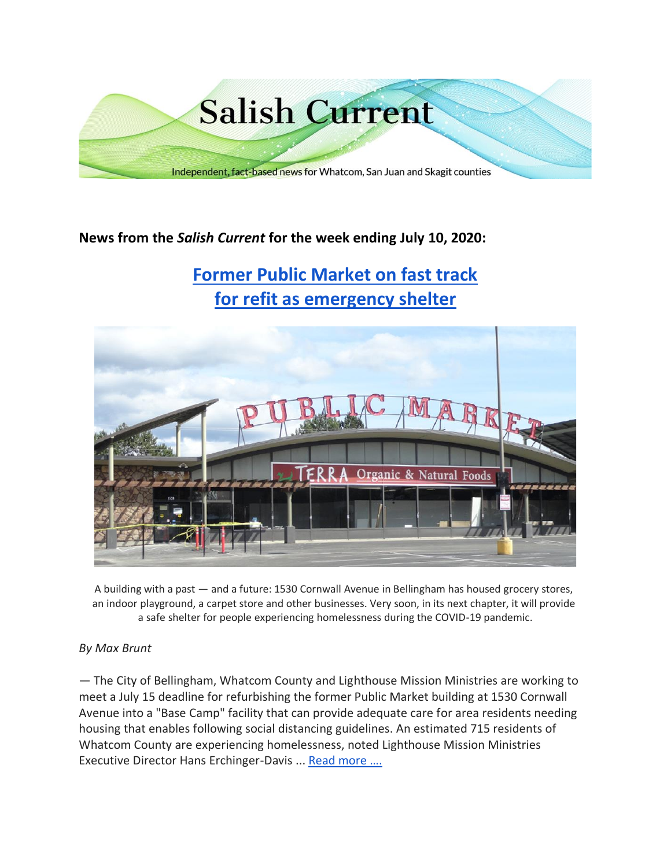

# **News from the** *Salish Current* **for the week ending July 10, 2020:**

# **[Former Public Market on fast track](https://salish-current.org/2020/07/09/former-public-market-on-fast-track-for-refit-as-emergency-shelter/) [for refit as emergency shelter](https://salish-current.org/2020/07/09/former-public-market-on-fast-track-for-refit-as-emergency-shelter/)**



A building with a past — and a future: 1530 Cornwall Avenue in Bellingham has housed grocery stores, an indoor playground, a carpet store and other businesses. Very soon, in its next chapter, it will provide a safe shelter for people experiencing homelessness during the COVID-19 pandemic.

#### *By Max Brunt*

— The City of Bellingham, Whatcom County and Lighthouse Mission Ministries are working to meet a July 15 deadline for refurbishing the former Public Market building at 1530 Cornwall Avenue into a "Base Camp" facility that can provide adequate care for area residents needing housing that enables following social distancing guidelines. An estimated 715 residents of Whatcom County are experiencing homelessness, noted Lighthouse Mission Ministries Executive Director Hans Erchinger-Davis ... [Read more ….](https://salish-current.org/2020/07/09/former-public-market-on-fast-track-for-refit-as-emergency-shelter/)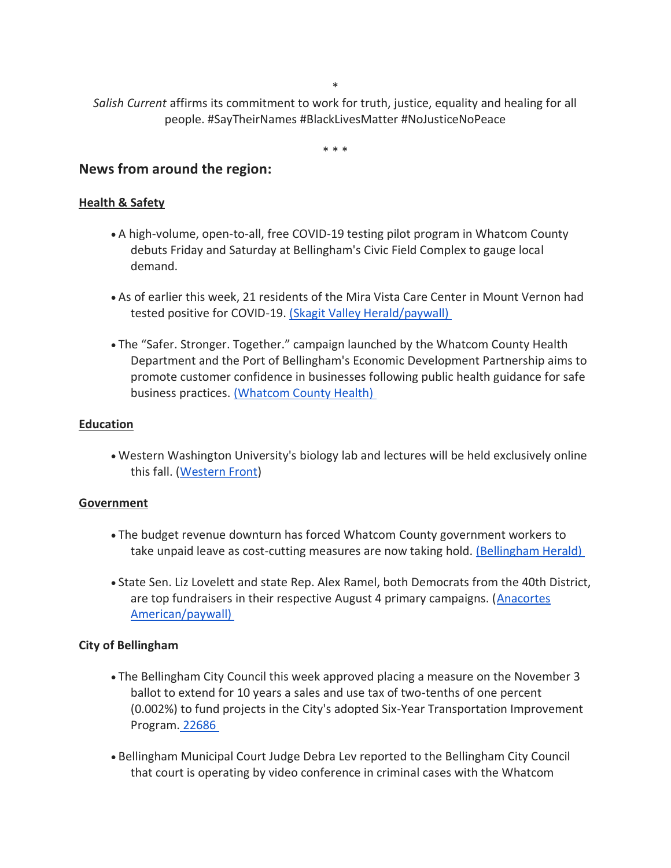\*

*Salish Current* affirms its commitment to work for truth, justice, equality and healing for all people. #SayTheirNames #BlackLivesMatter #NoJusticeNoPeace

\* \* \*

# **News from around the region:**

#### **Health & Safety**

- A high-volume, open-to-all, free COVID-19 testing pilot program in Whatcom County debuts Friday and Saturday at Bellingham's Civic Field Complex to gauge local demand.
- As of earlier this week, 21 residents of the Mira Vista Care Center in Mount Vernon had tested positive for COVID-19. [\(Skagit Valley Herald/paywall\)](https://www.goskagit.com/coronavirus/virus-outbreak-at-mount-vernon-care-center-confirmed/article_830c98d1-94d9-5b64-9742-4783e390eb77.html)
- The "Safer. Stronger. Together." campaign launched by the Whatcom County Health Department and the Port of Bellingham's Economic Development Partnership aims to promote customer confidence in businesses following public health guidance for safe business practices. [\(Whatcom County Health\)](http://www.whatcomcounty.us/CivicSend/ViewMessage/Message/117395)

#### **Education**

• Western Washington University's biology lab and lectures will be held exclusively online this fall. [\(Western Front\)](https://www.westernfrontonline.com/2020/07/08/wwu-biology-department-to-be-all-online-fall-quarter/)

#### **Government**

- The budget revenue downturn has forced Whatcom County government workers to take unpaid leave as cost-cutting measures are now taking hold. [\(Bellingham Herald\)](https://www.bellinghamherald.com/news/coronavirus/article244061812.html)
- State Sen. Liz Lovelett and state Rep. Alex Ramel, both Democrats from the 40th District, are top fundraisers in their respective August 4 primary campaigns. [\(Anacortes](https://www.goskagit.com/anacortes/news/lovelett-ramel-far-outdistance-opponents-in-campaign-fundraising/article_11afcb06-c124-11ea-9218-8fa6718158e6.html)  [American/paywall\)](https://www.goskagit.com/anacortes/news/lovelett-ramel-far-outdistance-opponents-in-campaign-fundraising/article_11afcb06-c124-11ea-9218-8fa6718158e6.html)

#### **City of Bellingham**

- The Bellingham City Council this week approved placing a measure on the November 3 ballot to extend for 10 years a sales and use tax of two-tenths of one percent (0.002%) to fund projects in the City's adopted Six-Year Transportation Improvement Program. [22686](https://meetings.cob.org/Meetings/ViewMeeting?id=2266&doctype=3)
- Bellingham Municipal Court Judge Debra Lev reported to the Bellingham City Council that court is operating by video conference in criminal cases with the Whatcom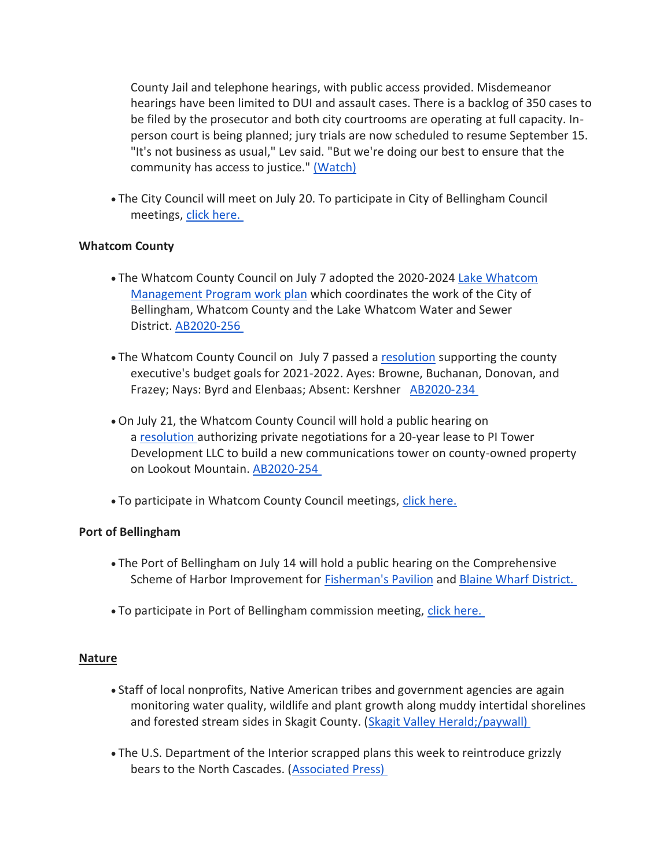County Jail and telephone hearings, with public access provided. Misdemeanor hearings have been limited to DUI and assault cases. There is a backlog of 350 cases to be filed by the prosecutor and both city courtrooms are operating at full capacity. Inperson court is being planned; jury trials are now scheduled to resume September 15. "It's not business as usual," Lev said. "But we're doing our best to ensure that the community has access to justice." [\(Watch\)](https://meetings.cob.org/Meetings/ViewMeeting?id=2266&doctype=3)

• The City Council will meet on July 20. To participate in City of Bellingham Council meetings, [click here.](https://meetings.cob.org/Meetings/ViewMeeting?id=2266&doctype=1)

# **Whatcom County**

- The Whatcom County Council on July 7 adopted the 2020-2024 [Lake Whatcom](https://whatcom.legistar.com/View.ashx?M=F&ID=8652435&GUID=7700CE60-18BA-46B3-9488-BA91F6C8F616)  [Management Program work plan](https://whatcom.legistar.com/View.ashx?M=F&ID=8652435&GUID=7700CE60-18BA-46B3-9488-BA91F6C8F616) which coordinates the work of the City of Bellingham, Whatcom County and the Lake Whatcom Water and Sewer District. [AB2020-256](https://whatcom.legistar.com/LegislationDetail.aspx?ID=4582647&GUID=53282D3E-2DDF-4031-85D1-CB9EDE74E1A4)
- The Whatcom County Council on July 7 passed a [resolution](https://whatcom.legistar.com/View.ashx?M=F&ID=8654591&GUID=5096F85C-C1DD-442C-B19B-1125EA7B716B) supporting the county executive's budget goals for 2021-2022. Ayes: Browne, Buchanan, Donovan, and Frazey; Nays: Byrd and Elenbaas; Absent: Kershner [AB2020-234](https://whatcom.legistar.com/LegislationDetail.aspx?ID=4587157&GUID=C5B1161B-7FF8-4FF6-8C49-EEF78663A3FB)
- On July 21, the Whatcom County Council will hold a public hearing on a [resolution](https://whatcom.legistar.com/View.ashx?M=F&ID=8643671&GUID=DB1B2FFB-F4D6-45B8-84F2-1113F4217234) authorizing private negotiations for a 20-year lease to PI Tower Development LLC to build a new communications tower on county-owned property on Lookout Mountain. [AB2020-254](https://whatcom.legistar.com/LegislationDetail.aspx?ID=4582779&GUID=DD54738E-4590-4755-83B0-6FE09668D5AF)
- To participate in Whatcom County Council meetings, [click here.](http://www.whatcomcounty.us/3415/Participate-in-Virtual-Council-Meetings)

#### **Port of Bellingham**

- The Port of Bellingham on July 14 will hold a public hearing on the Comprehensive Scheme of Harbor Improvement for [Fisherman's Pavilion](https://www.portofbellingham.com/DocumentCenter/View/9488/Fishermens-Pavillion) and [Blaine Wharf District.](https://www.portofbellingham.com/DocumentCenter/View/9491/Wharf-District-Plan)
- To participate in Port of Bellingham commission meeting, [click here.](https://www.portofbellingham.com/AgendaCenter/ViewFile/Agenda/_07142020-445)

#### **Nature**

- Staff of local nonprofits, Native American tribes and government agencies are again monitoring water quality, wildlife and plant growth along muddy intertidal shorelines and forested stream sides in Skagit County. [\(Skagit Valley Herald;/paywall\)](https://www.goskagit.com/living/community_news/boots-on-the-ground-local-scientists-resume-modified-field-work/article_bc2d0c2c-9af8-58c4-82cb-6b3861e655fb.html)
- The U.S. Department of the Interior scrapped plans this week to reintroduce grizzly bears to the North Cascades. [\(Associated Press\)](https://www.opb.org/news/article/grizzly-bear-reintroduction-north-cascades-give-up/)